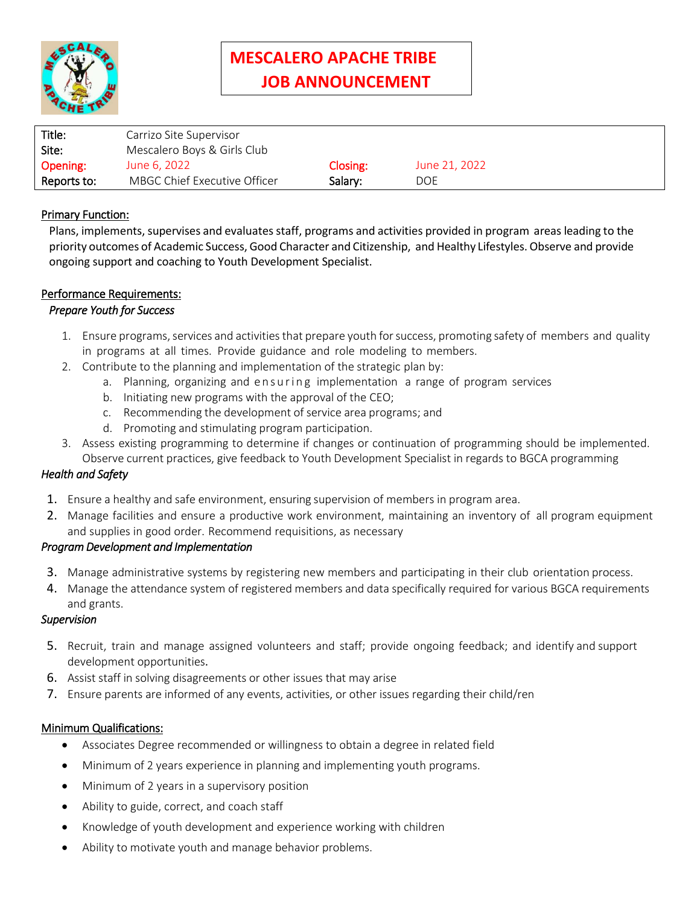

# **MESCALERO APACHE TRIBE JOB ANNOUNCEMENT**

| Title:      | Carrizo Site Supervisor      |          |               |
|-------------|------------------------------|----------|---------------|
| Site:       | Mescalero Boys & Girls Club  |          |               |
| Opening:    | June 6, 2022                 | Closing: | June 21, 2022 |
| Reports to: | MBGC Chief Executive Officer | Salary:  | <b>DOE</b>    |

## **Primary Function:**

Plans, implements, supervises and evaluates staff, programs and activities provided in program areas leading to the priority outcomes of Academic Success, Good Character and Citizenship, and Healthy Lifestyles.Observe and provide ongoing support and coaching to Youth Development Specialist.

#### Performance Requirements:

#### *Prepare Youth for Success*

- 1. Ensure programs, services and activities that prepare youth for success, promoting safety of members and quality in programs at all times. Provide guidance and role modeling to members.
- 2. Contribute to the planning and implementation of the strategic plan by:
	- a. Planning, organizing and ensuring implementation a range of program services
	- b. Initiating new programs with the approval of the CEO;
	- c. Recommending the development of service area programs; and
	- d. Promoting and stimulating program participation.
- 3. Assess existing programming to determine if changes or continuation of programming should be implemented. Observe current practices, give feedback to Youth Development Specialist in regards to BGCA programming

## *Health and Safety*

- 1. Ensure a healthy and safe environment, ensuring supervision of members in program area.
- 2. Manage facilities and ensure a productive work environment, maintaining an inventory of all program equipment and supplies in good order. Recommend requisitions, as necessary

#### *Program Development and Implementation*

- 3. Manage administrative systems by registering new members and participating in their club orientation process.
- 4. Manage the attendance system of registered members and data specifically required for various BGCA requirements and grants.

#### *Supervision*

- 5. Recruit, train and manage assigned volunteers and staff; provide ongoing feedback; and identify and support development opportunities.
- 6. Assist staff in solving disagreements or other issues that may arise
- 7. Ensure parents are informed of any events, activities, or other issues regarding their child/ren

#### Minimum Qualifications:

- Associates Degree recommended or willingness to obtain a degree in related field
- Minimum of 2 years experience in planning and implementing youth programs.
- Minimum of 2 years in a supervisory position
- Ability to guide, correct, and coach staff
- Knowledge of youth development and experience working with children
- Ability to motivate youth and manage behavior problems.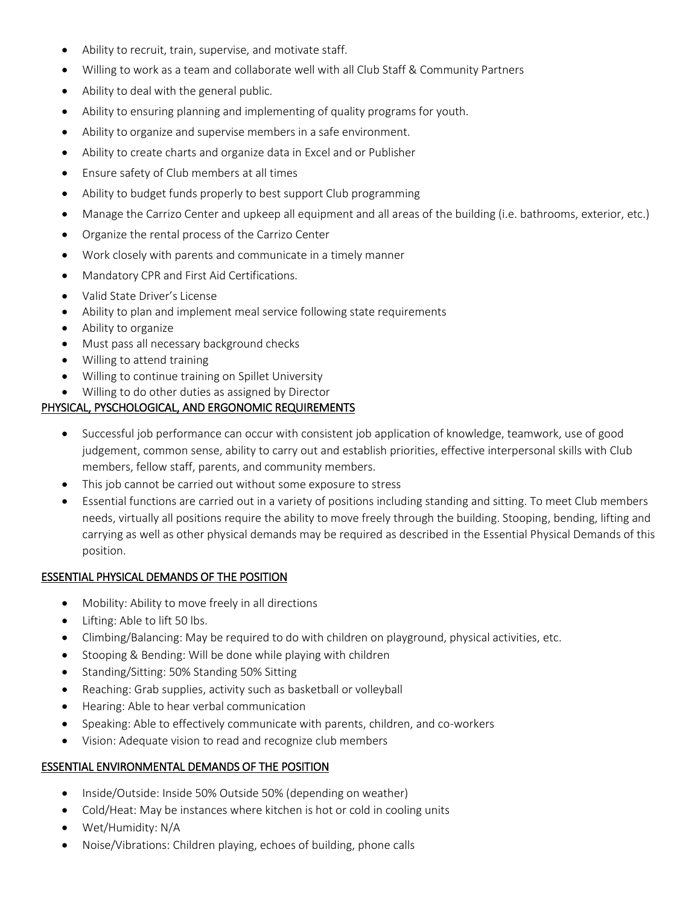- Ability to recruit, train, supervise, and motivate staff.
- Willing to work as a team and collaborate well with all Club Staff & Community Partners
- Ability to deal with the general public.
- Ability to ensuring planning and implementing of quality programs for youth.
- Ability to organize and supervise members in a safe environment.
- Ability to create charts and organize data in Excel and or Publisher
- Ensure safety of Club members at all times
- Ability to budget funds properly to best support Club programming
- Manage the Carrizo Center and upkeep all equipment and all areas of the building (i.e. bathrooms, exterior, etc.)
- Organize the rental process of the Carrizo Center
- Work closely with parents and communicate in a timely manner
- Mandatory CPR and First Aid Certifications.
- Valid State Driver's License
- Ability to plan and implement meal service following state requirements
- Ability to organize
- Must pass all necessary background checks
- Willing to attend training
- Willing to continue training on Spillet University
- Willing to do other duties as assigned by Director

## PHYSICAL, PYSCHOLOGICAL, AND ERGONOMIC REQUIREMENTS

- Successful job performance can occur with consistent job application of knowledge, teamwork, use of good judgement, common sense, ability to carry out and establish priorities, effective interpersonal skills with Club members, fellow staff, parents, and community members.
- This job cannot be carried out without some exposure to stress
- Essential functions are carried out in a variety of positions including standing and sitting. To meet Club members needs, virtually all positions require the ability to move freely through the building. Stooping, bending, lifting and carrying as well as other physical demands may be required as described in the Essential Physical Demands of this position.

#### ESSENTIAL PHYSICAL DEMANDS OF THE POSITION

- Mobility: Ability to move freely in all directions
- Lifting: Able to lift 50 lbs.
- Climbing/Balancing: May be required to do with children on playground, physical activities, etc.
- Stooping & Bending: Will be done while playing with children
- Standing/Sitting: 50% Standing 50% Sitting
- Reaching: Grab supplies, activity such as basketball or volleyball
- Hearing: Able to hear verbal communication
- Speaking: Able to effectively communicate with parents, children, and co-workers
- Vision: Adequate vision to read and recognize club members

#### ESSENTIAL ENVIRONMENTAL DEMANDS OF THE POSITION

- Inside/Outside: Inside 50% Outside 50% (depending on weather)
- Cold/Heat: May be instances where kitchen is hot or cold in cooling units
- Wet/Humidity: N/A
- Noise/Vibrations: Children playing, echoes of building, phone calls